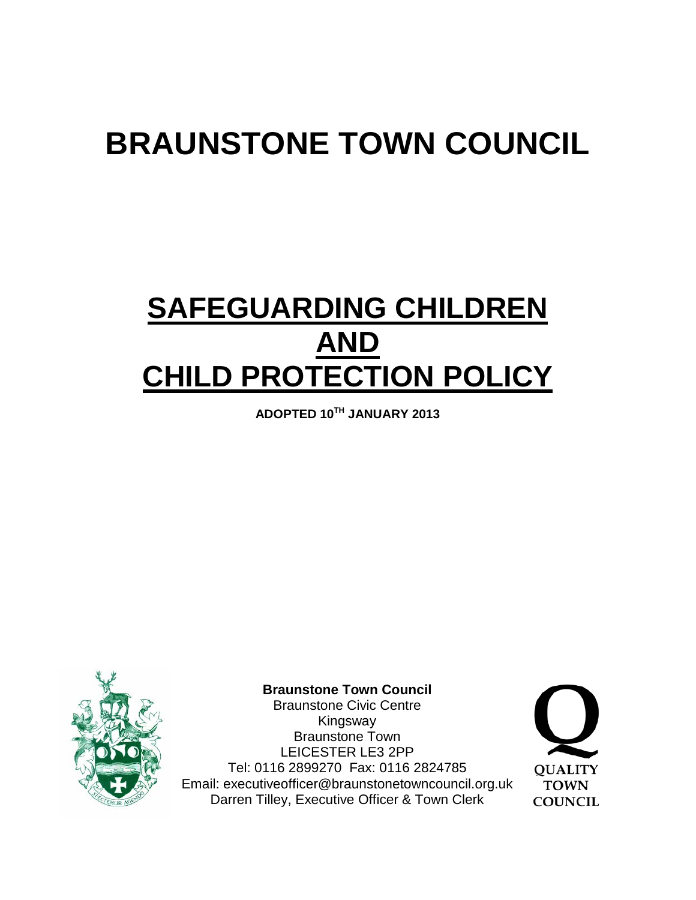# **BRAUNSTONE TOWN COUNCIL**

## **SAFEGUARDING CHILDREN AND CHILD PROTECTION POLICY**

**ADOPTED 10TH JANUARY 2013**



**Braunstone Town Council**

Braunstone Civic Centre Kingsway Braunstone Town LEICESTER LE3 2PP Tel: 0116 2899270 Fax: 0116 2824785 Email: executiveofficer@braunstonetowncouncil.org.uk Darren Tilley, Executive Officer & Town Clerk

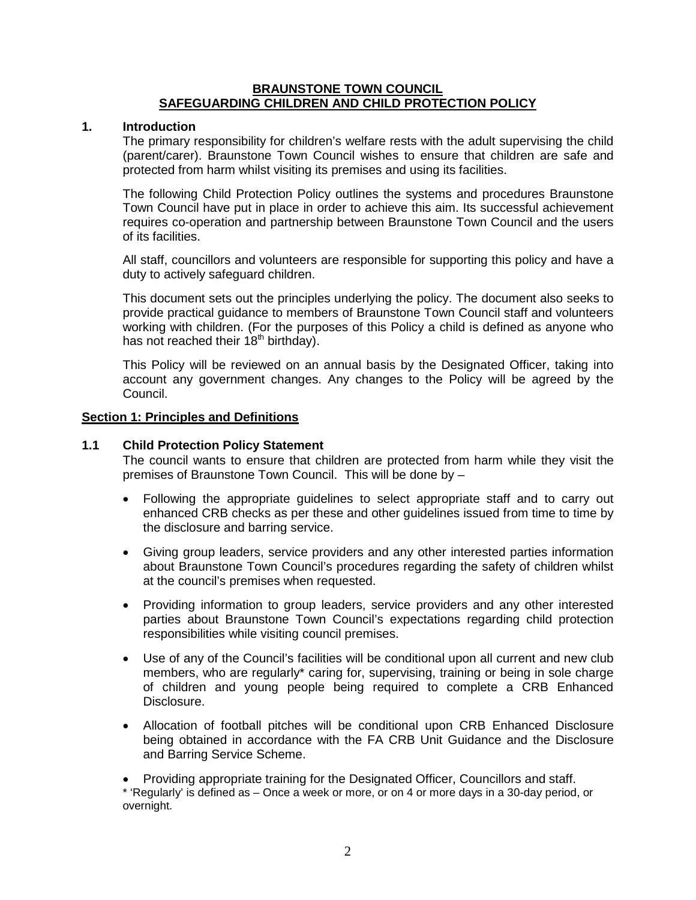#### **BRAUNSTONE TOWN COUNCIL SAFEGUARDING CHILDREN AND CHILD PROTECTION POLICY**

#### **1. Introduction**

The primary responsibility for children's welfare rests with the adult supervising the child (parent/carer). Braunstone Town Council wishes to ensure that children are safe and protected from harm whilst visiting its premises and using its facilities.

The following Child Protection Policy outlines the systems and procedures Braunstone Town Council have put in place in order to achieve this aim. Its successful achievement requires co-operation and partnership between Braunstone Town Council and the users of its facilities.

All staff, councillors and volunteers are responsible for supporting this policy and have a duty to actively safeguard children.

This document sets out the principles underlying the policy. The document also seeks to provide practical guidance to members of Braunstone Town Council staff and volunteers working with children. (For the purposes of this Policy a child is defined as anyone who has not reached their  $18<sup>th</sup>$  birthday).

This Policy will be reviewed on an annual basis by the Designated Officer, taking into account any government changes. Any changes to the Policy will be agreed by the Council.

#### **Section 1: Principles and Definitions**

#### **1.1 Child Protection Policy Statement**

The council wants to ensure that children are protected from harm while they visit the premises of Braunstone Town Council. This will be done by –

- Following the appropriate guidelines to select appropriate staff and to carry out enhanced CRB checks as per these and other guidelines issued from time to time by the disclosure and barring service.
- Giving group leaders, service providers and any other interested parties information about Braunstone Town Council's procedures regarding the safety of children whilst at the council's premises when requested.
- Providing information to group leaders, service providers and any other interested parties about Braunstone Town Council's expectations regarding child protection responsibilities while visiting council premises.
- Use of any of the Council's facilities will be conditional upon all current and new club members, who are regularly\* caring for, supervising, training or being in sole charge of children and young people being required to complete a CRB Enhanced Disclosure.
- Allocation of football pitches will be conditional upon CRB Enhanced Disclosure being obtained in accordance with the FA CRB Unit Guidance and the Disclosure and Barring Service Scheme.

• Providing appropriate training for the Designated Officer, Councillors and staff.

\* 'Regularly' is defined as – Once a week or more, or on 4 or more days in a 30-day period, or overnight.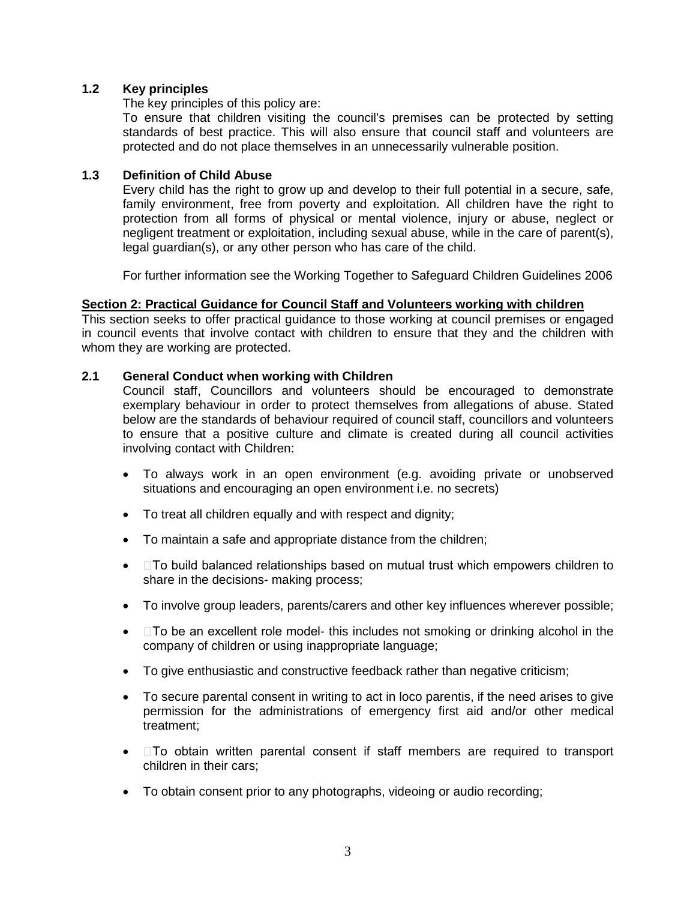#### **1.2 Key principles**

The key principles of this policy are:

To ensure that children visiting the council's premises can be protected by setting standards of best practice. This will also ensure that council staff and volunteers are protected and do not place themselves in an unnecessarily vulnerable position.

#### **1.3 Definition of Child Abuse**

Every child has the right to grow up and develop to their full potential in a secure, safe, family environment, free from poverty and exploitation. All children have the right to protection from all forms of physical or mental violence, injury or abuse, neglect or negligent treatment or exploitation, including sexual abuse, while in the care of parent(s), legal guardian(s), or any other person who has care of the child.

For further information see the Working Together to Safeguard Children Guidelines 2006

#### **Section 2: Practical Guidance for Council Staff and Volunteers working with children**

This section seeks to offer practical guidance to those working at council premises or engaged in council events that involve contact with children to ensure that they and the children with whom they are working are protected.

#### **2.1 General Conduct when working with Children**

Council staff, Councillors and volunteers should be encouraged to demonstrate exemplary behaviour in order to protect themselves from allegations of abuse. Stated below are the standards of behaviour required of council staff, councillors and volunteers to ensure that a positive culture and climate is created during all council activities involving contact with Children:

- To always work in an open environment (e.g. avoiding private or unobserved situations and encouraging an open environment i.e. no secrets)
- To treat all children equally and with respect and dignity;
- To maintain a safe and appropriate distance from the children;
- $\bullet$   $\Box$  To build balanced relationships based on mutual trust which empowers children to share in the decisions- making process;
- To involve group leaders, parents/carers and other key influences wherever possible;
- $\bullet$   $\Box$  To be an excellent role model- this includes not smoking or drinking alcohol in the company of children or using inappropriate language;
- To give enthusiastic and constructive feedback rather than negative criticism;
- To secure parental consent in writing to act in loco parentis, if the need arises to give permission for the administrations of emergency first aid and/or other medical treatment;
- $\bullet$   $\Box$  To obtain written parental consent if staff members are required to transport children in their cars;
- To obtain consent prior to any photographs, videoing or audio recording;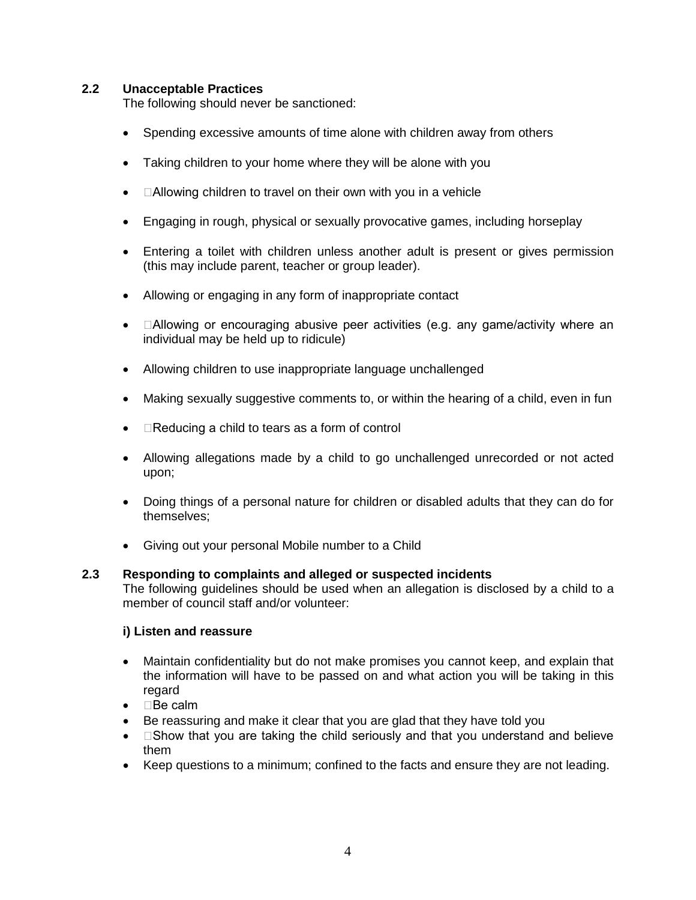#### **2.2 Unacceptable Practices**

The following should never be sanctioned:

- Spending excessive amounts of time alone with children away from others
- Taking children to your home where they will be alone with you
- $\Box$  Allowing children to travel on their own with you in a vehicle
- Engaging in rough, physical or sexually provocative games, including horseplay
- Entering a toilet with children unless another adult is present or gives permission (this may include parent, teacher or group leader).
- Allowing or engaging in any form of inappropriate contact
- $\Box$  Allowing or encouraging abusive peer activities (e.g. any game/activity where an individual may be held up to ridicule)
- Allowing children to use inappropriate language unchallenged
- Making sexually suggestive comments to, or within the hearing of a child, even in fun
- $\bullet$   $\Box$  Reducing a child to tears as a form of control
- Allowing allegations made by a child to go unchallenged unrecorded or not acted upon;
- Doing things of a personal nature for children or disabled adults that they can do for themselves;
- Giving out your personal Mobile number to a Child

#### **2.3 Responding to complaints and alleged or suspected incidents**

The following guidelines should be used when an allegation is disclosed by a child to a member of council staff and/or volunteer:

#### **i) Listen and reassure**

- Maintain confidentiality but do not make promises you cannot keep, and explain that the information will have to be passed on and what action you will be taking in this regard
- $\bullet$  **Be calm**
- Be reassuring and make it clear that you are glad that they have told you
- $\square$  Show that you are taking the child seriously and that you understand and believe them
- Keep questions to a minimum; confined to the facts and ensure they are not leading.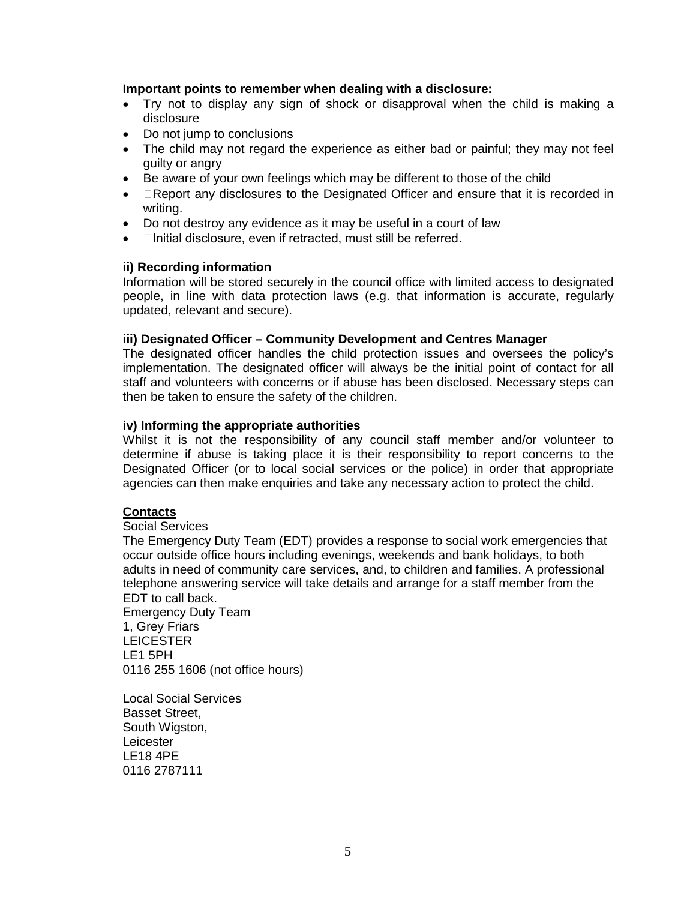#### **Important points to remember when dealing with a disclosure:**

- Try not to display any sign of shock or disapproval when the child is making a disclosure
- Do not jump to conclusions
- The child may not regard the experience as either bad or painful; they may not feel guilty or angry
- Be aware of your own feelings which may be different to those of the child
- EReport any disclosures to the Designated Officer and ensure that it is recorded in writing.
- Do not destroy any evidence as it may be useful in a court of law
- **Initial disclosure, even if retracted, must still be referred.**

#### **ii) Recording information**

Information will be stored securely in the council office with limited access to designated people, in line with data protection laws (e.g. that information is accurate, regularly updated, relevant and secure).

#### **iii) Designated Officer – Community Development and Centres Manager**

The designated officer handles the child protection issues and oversees the policy's implementation. The designated officer will always be the initial point of contact for all staff and volunteers with concerns or if abuse has been disclosed. Necessary steps can then be taken to ensure the safety of the children.

#### **iv) Informing the appropriate authorities**

Whilst it is not the responsibility of any council staff member and/or volunteer to determine if abuse is taking place it is their responsibility to report concerns to the Designated Officer (or to local social services or the police) in order that appropriate agencies can then make enquiries and take any necessary action to protect the child.

#### **Contacts**

#### Social Services

The Emergency Duty Team (EDT) provides a response to social work emergencies that occur outside office hours including evenings, weekends and bank holidays, to both adults in need of community care services, and, to children and families. A professional telephone answering service will take details and arrange for a staff member from the EDT to call back.

Emergency Duty Team 1, Grey Friars **LEICESTER** LE1 5PH 0116 255 1606 (not office hours)

Local Social Services Basset Street, South Wigston, Leicester LE18 4PE 0116 2787111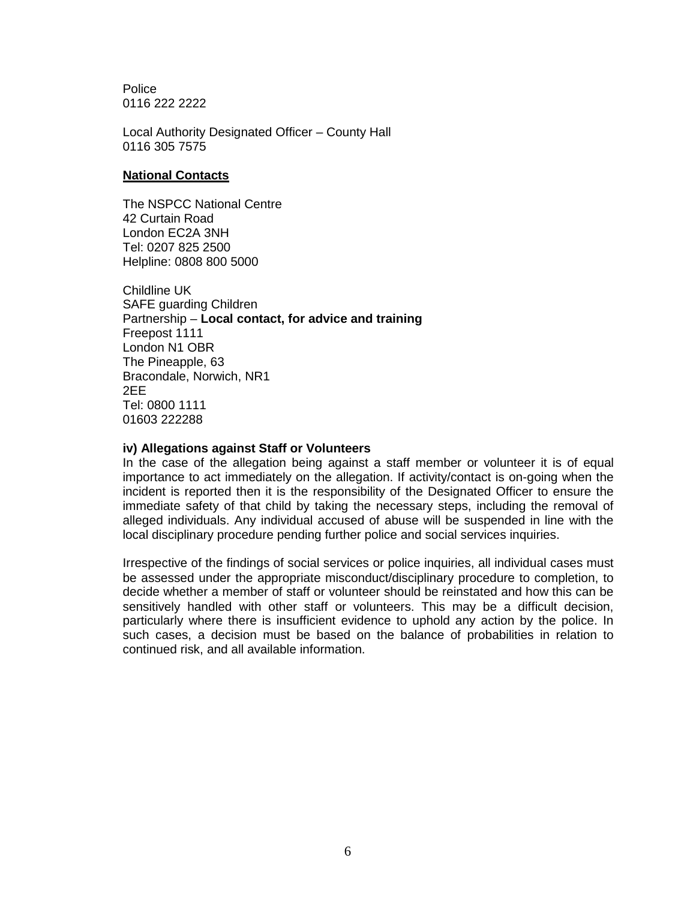**Police** 0116 222 2222

Local Authority Designated Officer – County Hall 0116 305 7575

#### **National Contacts**

The NSPCC National Centre 42 Curtain Road London EC2A 3NH Tel: 0207 825 2500 Helpline: 0808 800 5000

Childline UK SAFE guarding Children Partnership – **Local contact, for advice and training** Freepost 1111 London N1 OBR The Pineapple, 63 Bracondale, Norwich, NR1 2EE Tel: 0800 1111 01603 222288

#### **iv) Allegations against Staff or Volunteers**

In the case of the allegation being against a staff member or volunteer it is of equal importance to act immediately on the allegation. If activity/contact is on-going when the incident is reported then it is the responsibility of the Designated Officer to ensure the immediate safety of that child by taking the necessary steps, including the removal of alleged individuals. Any individual accused of abuse will be suspended in line with the local disciplinary procedure pending further police and social services inquiries.

Irrespective of the findings of social services or police inquiries, all individual cases must be assessed under the appropriate misconduct/disciplinary procedure to completion, to decide whether a member of staff or volunteer should be reinstated and how this can be sensitively handled with other staff or volunteers. This may be a difficult decision, particularly where there is insufficient evidence to uphold any action by the police. In such cases, a decision must be based on the balance of probabilities in relation to continued risk, and all available information.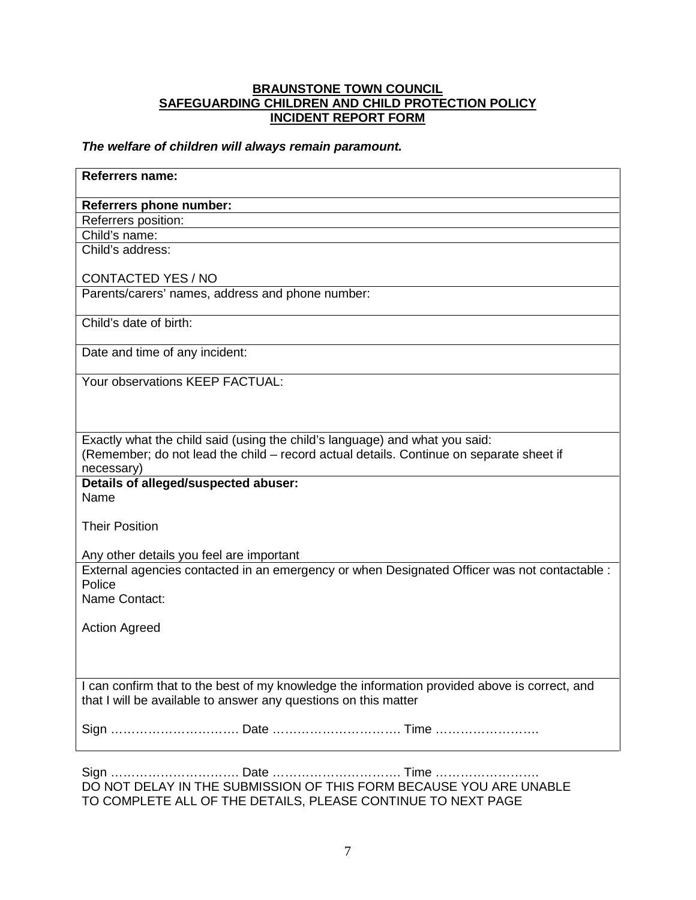#### **BRAUNSTONE TOWN COUNCIL SAFEGUARDING CHILDREN AND CHILD PROTECTION POLICY INCIDENT REPORT FORM**

#### *The welfare of children will always remain paramount.*

| Referrers name:                                                                                                                                                        |  |  |
|------------------------------------------------------------------------------------------------------------------------------------------------------------------------|--|--|
| Referrers phone number:                                                                                                                                                |  |  |
| Referrers position:                                                                                                                                                    |  |  |
| Child's name:                                                                                                                                                          |  |  |
| Child's address:                                                                                                                                                       |  |  |
| <b>CONTACTED YES / NO</b>                                                                                                                                              |  |  |
| Parents/carers' names, address and phone number:                                                                                                                       |  |  |
| Child's date of birth:                                                                                                                                                 |  |  |
| Date and time of any incident:                                                                                                                                         |  |  |
| Your observations KEEP FACTUAL:                                                                                                                                        |  |  |
|                                                                                                                                                                        |  |  |
|                                                                                                                                                                        |  |  |
| Exactly what the child said (using the child's language) and what you said:<br>(Remember; do not lead the child - record actual details. Continue on separate sheet if |  |  |
| necessary)                                                                                                                                                             |  |  |
| Details of alleged/suspected abuser:                                                                                                                                   |  |  |
| Name                                                                                                                                                                   |  |  |
|                                                                                                                                                                        |  |  |
| <b>Their Position</b>                                                                                                                                                  |  |  |
|                                                                                                                                                                        |  |  |
| Any other details you feel are important                                                                                                                               |  |  |
| External agencies contacted in an emergency or when Designated Officer was not contactable :<br>Police                                                                 |  |  |
| Name Contact:                                                                                                                                                          |  |  |
|                                                                                                                                                                        |  |  |
| <b>Action Agreed</b>                                                                                                                                                   |  |  |
|                                                                                                                                                                        |  |  |
|                                                                                                                                                                        |  |  |
|                                                                                                                                                                        |  |  |
| I can confirm that to the best of my knowledge the information provided above is correct, and<br>that I will be available to answer any questions on this matter       |  |  |
|                                                                                                                                                                        |  |  |
|                                                                                                                                                                        |  |  |
| <b>Sinn</b><br><b>Dota</b><br><b>Timo</b>                                                                                                                              |  |  |

Sign …………………………. Date …………………………. Time ……………………. DO NOT DELAY IN THE SUBMISSION OF THIS FORM BECAUSE YOU ARE UNABLE TO COMPLETE ALL OF THE DETAILS, PLEASE CONTINUE TO NEXT PAGE